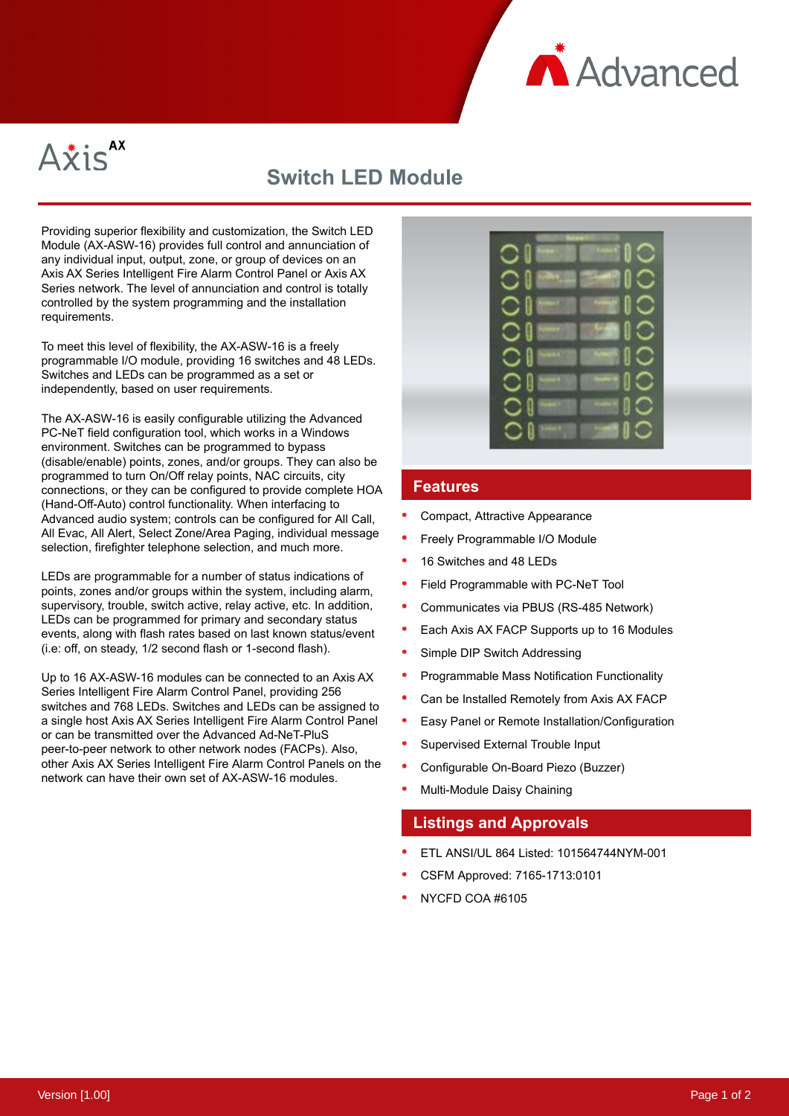



## **Switch LED Module**

Providing superior flexibility and customization, the Switch LED Module (AX-ASW-16) provides full control and annunciation of any individual input, output, zone, or group of devices on an Axis AX Series Intelligent Fire Alarm Control Panel or Axis AX Series network. The level of annunciation and control is totally controlled by the system programming and the installation requirements.

To meet this level of flexibility, the AX-ASW-16 is a freely programmable I/O module, providing 16 switches and 48 LEDs. Switches and LEDs can be programmed as a set or independently, based on user requirements.

The AX-ASW-16 is easily configurable utilizing the Advanced PC-NeT field configuration tool, which works in a Windows environment. Switches can be programmed to bypass (disable/enable) points, zones, and/or groups. They can also be programmed to turn On/Off relay points, NAC circuits, city connections, or they can be configured to provide complete HOA (Hand-Off-Auto) control functionality. When interfacing to Advanced audio system; controls can be configured for All Call, All Evac, All Alert, Select Zone/Area Paging, individual message selection, firefighter telephone selection, and much more.

LEDs are programmable for a number of status indications of points, zones and/or groups within the system, including alarm, supervisory, trouble, switch active, relay active, etc. In addition, LEDs can be programmed for primary and secondary status events, along with flash rates based on last known status/event (i.e: off, on steady, 1/2 second flash or 1-second flash).

Up to 16 AX-ASW-16 modules can be connected to an Axis AX Series Intelligent Fire Alarm Control Panel, providing 256 switches and 768 LEDs. Switches and LEDs can be assigned to a single host Axis AX Series Intelligent Fire Alarm Control Panel or can be transmitted over the Advanced Ad-NeT-PluS peer-to-peer network to other network nodes (FACPs). Also, other Axis AX Series Intelligent Fire Alarm Control Panels on the network can have their own set of AX-ASW-16 modules.



## **Features**

- Compact, Attractive Appearance
- Freely Programmable I/O Module
- 16 Switches and 48 LEDs
- Field Programmable with PC-NeT Tool
- Communicates via PBUS (RS-485 Network)
- Each Axis AX FACP Supports up to 16 Modules
- Simple DIP Switch Addressing
- Programmable Mass Notification Functionality
- Can be Installed Remotely from Axis AX FACP
- Easy Panel or Remote Installation/Configuration
- Supervised External Trouble Input
- Configurable On-Board Piezo (Buzzer)
- Multi-Module Daisy Chaining

## **Listings and Approvals**

- ETL ANSI/UL 864 Listed: 101564744NYM-001
- CSFM Approved: 7165-1713:0101
- NYCFD COA #6105